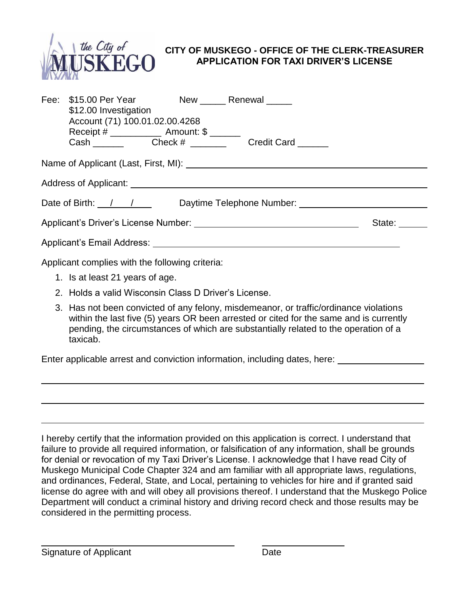

## **CITY OF MUSKEGO - OFFICE OF THE CLERK-TREASURER APPLICATION FOR TAXI DRIVER'S LICENSE**

|                                                                                                                         | Fee: \$15.00 Per Year New _____ Renewal ____<br>\$12.00 Investigation<br>Account (71) 100.01.02.00.4268<br>Receipt # ________________ Amount: \$ _______ |  |                                                                                                                                                                                                                                      |  |  |
|-------------------------------------------------------------------------------------------------------------------------|----------------------------------------------------------------------------------------------------------------------------------------------------------|--|--------------------------------------------------------------------------------------------------------------------------------------------------------------------------------------------------------------------------------------|--|--|
|                                                                                                                         |                                                                                                                                                          |  |                                                                                                                                                                                                                                      |  |  |
|                                                                                                                         |                                                                                                                                                          |  |                                                                                                                                                                                                                                      |  |  |
| Date of Birth: / / / Daytime Telephone Number:                                                                          |                                                                                                                                                          |  |                                                                                                                                                                                                                                      |  |  |
| Applicant's Driver's License Number: Applicant of the Marine School of the Marine School of the Marine School<br>State: |                                                                                                                                                          |  |                                                                                                                                                                                                                                      |  |  |
|                                                                                                                         |                                                                                                                                                          |  | Applicant's Email Address: <u>Contract Contract Contract Contract Contract Contract Contract Contract Contract Contract Contract Contract Contract Contract Contract Contract Contract Contract Contract Contract Contract Contr</u> |  |  |
|                                                                                                                         | Applicant complies with the following criteria:                                                                                                          |  |                                                                                                                                                                                                                                      |  |  |
|                                                                                                                         | 1. Is at least 21 years of age.                                                                                                                          |  |                                                                                                                                                                                                                                      |  |  |
| 2. Holds a valid Wisconsin Class D Driver's License.                                                                    |                                                                                                                                                          |  |                                                                                                                                                                                                                                      |  |  |

3. Has not been convicted of any felony, misdemeanor, or traffic/ordinance violations within the last five (5) years OR been arrested or cited for the same and is currently pending, the circumstances of which are substantially related to the operation of a taxicab.

Enter applicable arrest and conviction information, including dates, here:

I hereby certify that the information provided on this application is correct. I understand that failure to provide all required information, or falsification of any information, shall be grounds for denial or revocation of my Taxi Driver's License. I acknowledge that I have read City of Muskego Municipal Code Chapter 324 and am familiar with all appropriate laws, regulations, and ordinances, Federal, State, and Local, pertaining to vehicles for hire and if granted said license do agree with and will obey all provisions thereof. I understand that the Muskego Police Department will conduct a criminal history and driving record check and those results may be considered in the permitting process.